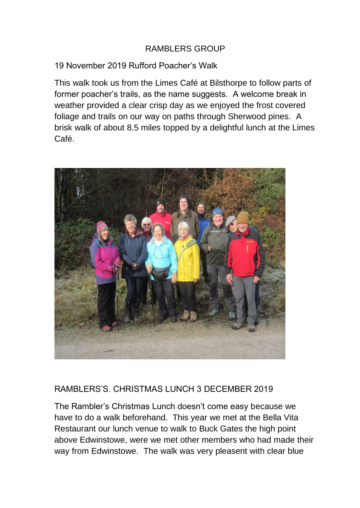## RAMBLERS GROUP

## 19 November 2019 Rufford Poacher's Walk

This walk took us from the Limes Café at Bilsthorpe to follow parts of former poacher's trails, as the name suggests. A welcome break in weather provided a clear crisp day as we enjoyed the frost covered foliage and trails on our way on paths through Sherwood pines. A brisk walk of about 8.5 miles topped by a delightful lunch at the Limes Café.



## RAMBLERS'S. CHRISTMAS LUNCH 3 DECEMBER 2019

The Rambler's Christmas Lunch doesn't come easy because we have to do a walk beforehand. This year we met at the Bella Vita Restaurant our lunch venue to walk to Buck Gates the high point above Edwinstowe, were we met other members who had made their way from Edwinstowe. The walk was very pleasent with clear blue